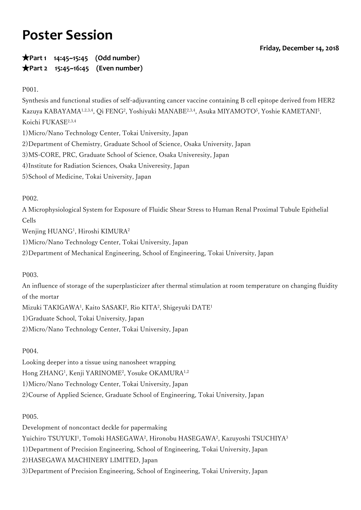# **Poster Session**

★**Part 1 14:45~15:45 (Odd number)** ★**Part 2 15:45~16:45 (Even number)**

P001.

Synthesis and functional studies of self-adjuvanting cancer vaccine containing B cell epitope derived from HER2 Kazuya KABAYAMA1,2,3,4, Qi FENG<sup>2</sup>, Yoshiyuki MANABE<sup>2,3,4</sup>, Asuka MIYAMOTO<sup>5</sup>, Yoshie KAMETANI<sup>5</sup>, Koichi FUKASE2,3,4 1)Micro/Nano Technology Center, Tokai University, Japan 2)Department of Chemistry, Graduate School of Science, Osaka University, Japan 3)MS-CORE, PRC, Graduate School of Science, Osaka Univeresity, Japan 4)Institute for Radiation Sciences, Osaka Univeresity, Japan

5)School of Medicine, Tokai University, Japan

P002.

A Microphysiological System for Exposure of Fluidic Shear Stress to Human Renal Proximal Tubule Epithelial Cells

Wenjing HUANG1 , Hiroshi KIMURA2

1)Micro/Nano Technology Center, Tokai University, Japan

2)Department of Mechanical Engineering, School of Engineering, Tokai University, Japan

P003.

An influence of storage of the superplasticizer after thermal stimulation at room temperature on changing fluidity of the mortar Mizuki TAKIGAWA<sup>1</sup>, Kaito SASAKI<sup>2</sup>, Rio KITA<sup>2</sup>, Shigeyuki DATE<sup>1</sup> 1)Graduate School, Tokai University, Japan

2)Micro/Nano Technology Center, Tokai University, Japan

P004.

Looking deeper into a tissue using nanosheet wrapping Hong ZHANG1 , Kenji YARINOME2 , Yosuke OKAMURA1,2 1)Micro/Nano Technology Center, Tokai University, Japan 2)Course of Applied Science, Graduate School of Engineering, Tokai University, Japan

P005.

Development of noncontact deckle for papermaking Yuichiro TSUYUKI<sup>1</sup>, Tomoki HASEGAWA<sup>2</sup>, Hironobu HASEGAWA<sup>2</sup>, Kazuyoshi TSUCHIYA<sup>3</sup> 1)Department of Precision Engineering, School of Engineering, Tokai University, Japan 2)HASEGAWA MACHINERY LIMITED, Japan 3)Department of Precision Engineering, School of Engineering, Tokai University, Japan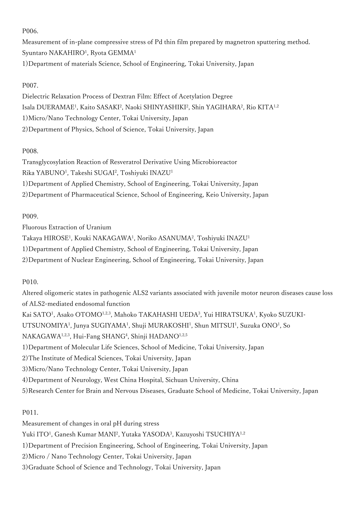P006.

Measurement of in-plane compressive stress of Pd thin film prepared by magnetron sputtering method. Syuntaro NAKAHIRO<sup>1</sup>, Ryota GEMMA<sup>1</sup> 1)Department of materials Science, School of Engineering, Tokai University, Japan

# P007.

Dielectric Relaxation Process of Dextran Film: Effect of Acetylation Degree Isala DUERAMAE<sup>1</sup>, Kaito SASAKI<sup>2</sup>, Naoki SHINYASHIKI<sup>2</sup>, Shin YAGIHARA<sup>2</sup>, Rio KITA<sup>1,2</sup> 1)Micro/Nano Technology Center, Tokai University, Japan 2)Department of Physics, School of Science, Tokai University, Japan

# P008.

Transglycosylation Reaction of Resveratrol Derivative Using Microbioreactor Rika YABUNO<sup>1</sup>, Takeshi SUGAI<sup>2</sup>, Toshiyuki INAZU<sup>1</sup> 1)Department of Applied Chemistry, School of Engineering, Tokai University, Japan 2)Department of Pharmaceutical Science, School of Engineering, Keio University, Japan

# P009.

Fluorous Extraction of Uranium Takaya HIROSE<sup>1</sup>, Kouki NAKAGAWA<sup>1</sup>, Noriko ASANUMA<sup>2</sup>, Toshiyuki INAZU<sup>1</sup> 1)Department of Applied Chemistry, School of Engineering, Tokai University, Japan 2)Department of Nuclear Engineering, School of Engineering, Tokai University, Japan

# P010.

Altered oligomeric states in pathogenic ALS2 variants associated with juvenile motor neuron diseases cause loss of ALS2-mediated endosomal function Kai SATO<sup>1</sup>, Asako OTOMO<sup>1,2,3</sup>, Mahoko TAKAHASHI UEDA<sup>3</sup>, Yui HIRATSUKA<sup>1</sup>, Kyoko SUZUKI-UTSUNOMIYA<sup>1</sup>, Junya SUGIYAMA<sup>1</sup>, Shuji MURAKOSHI<sup>1</sup>, Shun MITSUI<sup>1</sup>, Suzuka ONO<sup>1</sup>, So NAKAGAWA<sup>1,2,3</sup>, Hui-Fang SHANG<sup>4</sup>, Shinji HADANO<sup>1,2,5</sup> 1)Department of Molecular Life Sciences, School of Medicine, Tokai University, Japan 2)The Institute of Medical Sciences, Tokai University, Japan 3)Micro/Nano Technology Center, Tokai University, Japan 4)Department of Neurology, West China Hospital, Sichuan University, China 5)Research Center for Brain and Nervous Diseases, Graduate School of Medicine, Tokai University, Japan

P011.

Measurement of changes in oral pH during stress Yuki ITO<sup>1</sup>, Ganesh Kumar MANI<sup>2</sup>, Yutaka YASODA<sup>3</sup>, Kazuyoshi TSUCHIYA<sup>1,2</sup> 1)Department of Precision Engineering, School of Engineering, Tokai University, Japan 2)Micro / Nano Technology Center, Tokai University, Japan 3)Graduate School of Science and Technology, Tokai University, Japan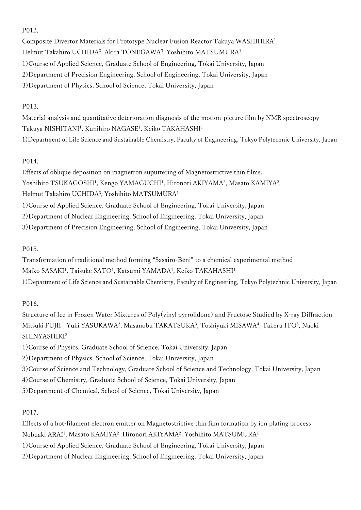#### P012.

Composite Divertor Materials for Prototype Nuclear Fusion Reactor Takuya WASHIHIRA<sup>1</sup> , Helmut Takahiro UCHIDA², Akira TONEGAWA<sup>3</sup>, Yoshihito MATSUMURA<sup>1</sup> 1)Course of Applied Science, Graduate School of Engineering, Tokai University, Japan 2)Department of Precision Engineering, School of Engineering, Tokai University, Japan 3)Department of Physics, School of Science, Tokai University, Japan

#### P013.

Material analysis and quantitative deterioration diagnosis of the motion-picture film by NMR spectroscopy Takuya NISHITANI<sup>1</sup>, Kunihiro NAGASE<sup>1</sup>, Keiko TAKAHASHI<sup>1</sup> 1)Department of Life Science and Sustainable Chemistry, Faculty of Engineering, Tokyo Polytechnic University, Japan

## P014.

Effects of oblique deposition on magnetron suputtering of Magnetostrictive thin films. Yoshihito TSUKAGOSHI<sup>1</sup>, Kengo YAMAGUCHI<sup>1</sup>, Hironori AKIYAMA<sup>2</sup>, Masato KAMIYA<sup>2</sup>, Helmut Takahiro UCHIDA<sup>3</sup> , Yoshihito MATSUMURA<sup>1</sup> 1)Course of Applied Science, Graduate School of Engineering, Tokai University, Japan 2)Department of Nuclear Engineering, School of Engineering, Tokai University, Japan 3)Department of Precision Engineering, School of Engineering, Tokai University, Japan

## P015.

Transformation of traditional method forming "Sasairo-Beni" to a chemical experimental method Maiko SASAKI<sup>1</sup>, Taisuke SATO<sup>1</sup>, Katsumi YAMADA<sup>1</sup>, Keiko TAKAHASHI<sup>1</sup> 1)Department of Life Science and Sustainable Chemistry, Faculty of Engineering, Tokyo Polytechnic University, Japan

## P016.

Structure of Ice in Frozen Water Mixtures of Poly(vinyl pyrrolidone) and Fructose Studied by X-ray Diffraction Mitsuki FUJII<sup>1</sup>, Yuki YASUKAWA<sup>2</sup>, Masanobu TAKATSUKA<sup>3</sup>, Toshiyuki MISAWA<sup>4</sup>, Takeru ITO<sup>5</sup>, Naoki SHINYASHIKI2

1)Course of Physics, Graduate School of Science, Tokai University, Japan

2)Department of Physics, School of Science, Tokai University, Japan

3)Course of Science and Technology, Graduate School of Science and Technology, Tokai University, Japan

4)Course of Chemistry, Graduate School of Science, Tokai University, Japan

5)Department of Chemical, School of Science, Tokai University, Japan

## P017.

Effects of a hot-filament electron emitter on Magnetostrictive thin film formation by ion plating process Nobuaki ARAI<sup>1</sup>, Masato KAMIYA<sup>2</sup>, Hironori AKIYAMA<sup>2</sup>, Yoshihito MATSUMURA<sup>1</sup> 1)Course of Applied Science, Graduate School of Engineering, Tokai University, Japan 2)Department of Nuclear Engineering, School of Engineering, Tokai University, Japan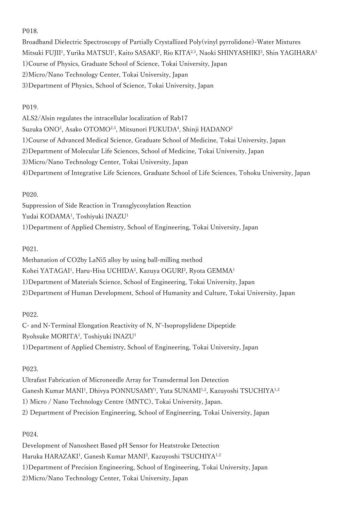#### P018.

Broadband Dielectric Spectroscopy of Partially Crystallized Poly(vinyl pyrrolidone)-Water Mixtures Mitsuki FUJII<sup>1</sup>, Yurika MATSUI<sup>1</sup>, Kaito SASAKI<sup>2</sup>, Rio KITA<sup>2,3</sup>, Naoki SHINYASHIKI<sup>3</sup>, Shin YAGIHARA<sup>3</sup> 1)Course of Physics, Graduate School of Science, Tokai University, Japan 2)Micro/Nano Technology Center, Tokai University, Japan 3)Department of Physics, School of Science, Tokai University, Japan

## P019.

ALS2/Alsin regulates the intracellular localization of Rab17 Suzuka ONO1 , Asako OTOMO2,3, Mitsunori FUKUDA4 , Shinji HADANO2 1)Course of Advanced Medical Science, Graduate School of Medicine, Tokai University, Japan 2)Department of Molecular Life Sciences, School of Medicine, Tokai University, Japan 3)Micro/Nano Technology Center, Tokai University, Japan 4)Department of Integrative Life Sciences, Graduate School of Life Sciences, Tohoku University, Japan

## P020.

Suppression of Side Reaction in Transglycosylation Reaction Yudai KODAMA1 , Toshiyuki INAZU1 1)Department of Applied Chemistry, School of Engineering, Tokai University, Japan

# P021.

Methanation of CO2by LaNi5 alloy by using ball-milling method Kohei YATAGAI<sup>1</sup>, Haru-Hisa UCHIDA<sup>2</sup>, Kazuya OGURI<sup>2</sup>, Ryota GEMMA<sup>1</sup> 1)Department of Materials Science, School of Engineering, Tokai University, Japan 2)Department of Human Development, School of Humanity and Culture, Tokai University, Japan

# P022.

C- and N-Terminal Elongation Reactivity of N, N'-Isopropylidene Dipeptide Ryohsuke MORITA1 , Toshiyuki INAZU1 1)Department of Applied Chemistry, School of Engineering, Tokai University, Japan

# P023.

Ultrafast Fabrication of Microneedle Array for Transdermal Ion Detection Ganesh Kumar MANI<sup>1</sup>, Dhivya PONNUSAMY<sup>1</sup>, Yuta SUNAMI<sup>1,2</sup>, Kazuyoshi TSUCHIYA<sup>1,2</sup> 1) Micro / Nano Technology Centre (MNTC), Tokai University, Japan. 2) Department of Precision Engineering, School of Engineering, Tokai University, Japan

## P024.

Development of Nanosheet Based pH Sensor for Heatstroke Detection Haruka HARAZAKI1 , Ganesh Kumar MANI2 , Kazuyoshi TSUCHIYA1,2 1)Department of Precision Engineering, School of Engineering, Tokai University, Japan 2)Micro/Nano Technology Center, Tokai University, Japan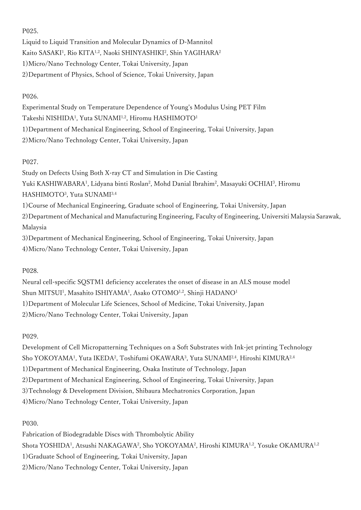#### P025.

Liquid to Liquid Transition and Molecular Dynamics of D-Mannitol Kaito SASAKI<sup>1</sup>, Rio KITA<sup>1,2</sup>, Naoki SHINYASHIKI<sup>2</sup>, Shin YAGIHARA<sup>2</sup> 1)Micro/Nano Technology Center, Tokai University, Japan 2)Department of Physics, School of Science, Tokai University, Japan

## P026.

Experimental Study on Temperature Dependence of Young's Modulus Using PET Film Takeshi NISHIDA1 , Yuta SUNAMI1,2, Hiromu HASHIMOTO1 1)Department of Mechanical Engineering, School of Engineering, Tokai University, Japan 2)Micro/Nano Technology Center, Tokai University, Japan

## P027.

Study on Defects Using Both X-ray CT and Simulation in Die Casting Yuki KASHIWABARA<sup>1</sup>, Lidyana binti Roslan<sup>2</sup>, Mohd Danial Ibrahim<sup>2</sup>, Masayuki OCHIAI<sup>3</sup>, Hiromu HASHIMOTO3 , Yuta SUNAMI3,4 1)Course of Mechanical Engineering, Graduate school of Engineering, Tokai University, Japan 2)Department of Mechanical and Manufacturing Engineering, Faculty of Engineering, Universiti Malaysia Sarawak, Malaysia 3)Department of Mechanical Engineering, School of Engineering, Tokai University, Japan 4)Micro/Nano Technology Center, Tokai University, Japan

## P028.

Neural cell-specific SQSTM1 deficiency accelerates the onset of disease in an ALS mouse model Shun MITSUI<sup>1</sup>, Masahito ISHIYAMA<sup>1</sup>, Asako OTOMO<sup>1,2</sup>, Shinji HADANO<sup>1</sup> 1)Department of Molecular Life Sciences, School of Medicine, Tokai University, Japan 2)Micro/Nano Technology Center, Tokai University, Japan

## P029.

Development of Cell Micropatterning Techniques on a Soft Substrates with Ink-jet printing Technology Sho YOKOYAMA<sup>1</sup>, Yuta IKEDA<sup>2</sup>, Toshifumi OKAWARA<sup>3</sup>, Yuta SUNAMI<sup>2,4</sup>, Hiroshi KIMURA<sup>2,4</sup> 1)Department of Mechanical Engineering, Osaka Institute of Technology, Japan 2)Department of Mechanical Engineering, School of Engineering, Tokai University, Japan 3)Technology & Development Division, Shibaura Mechatronics Corporation, Japan 4)Micro/Nano Technology Center, Tokai University, Japan

## P030.

Fabrication of Biodegradable Discs with Thrombolytic Ability Shota YOSHIDA<sup>1</sup>, Atsushi NAKAGAWA<sup>2</sup>, Sho YOKOYAMA<sup>2</sup>, Hiroshi KIMURA<sup>1,2</sup>, Yosuke OKAMURA<sup>1,2</sup> 1)Graduate School of Engineering, Tokai University, Japan 2)Micro/Nano Technology Center, Tokai University, Japan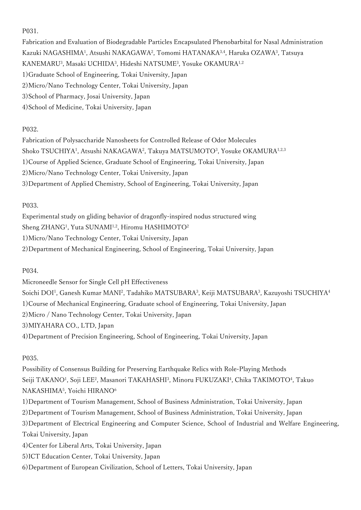#### P031.

Fabrication and Evaluation of Biodegradable Particles Encapsulated Phenobarbital for Nasal Administration Kazuki NAGASHIMA<sup>1</sup>, Atsushi NAKAGAWA<sup>2</sup>, Tomomi HATANAKA<sup>3,4</sup>, Haruka OZAWA<sup>3</sup>, Tatsuya KANEMARU<sup>3</sup>, Masaki UCHIDA<sup>3</sup>, Hideshi NATSUME<sup>3</sup>, Yosuke OKAMURA<sup>1,2</sup> 1)Graduate School of Engineering, Tokai University, Japan 2)Micro/Nano Technology Center, Tokai University, Japan 3)School of Pharmacy, Josai University, Japan 4)School of Medicine, Tokai University, Japan

## P032.

Fabrication of Polysaccharide Nanosheets for Controlled Release of Odor Molecules Shoko TSUCHIYA<sup>1</sup>, Atsushi NAKAGAWA<sup>2</sup>, Takuya MATSUMOTO<sup>3</sup>, Yosuke OKAMURA<sup>1,2,3</sup> 1)Course of Applied Science, Graduate School of Engineering, Tokai University, Japan 2)Micro/Nano Technology Center, Tokai University, Japan 3)Department of Applied Chemistry, School of Engineering, Tokai University, Japan

#### P033.

Experimental study on gliding behavior of dragonfly-inspired nodus structured wing Sheng ZHANG<sup>1</sup>, Yuta SUNAMI<sup>1,2</sup>, Hiromu HASHIMOTO<sup>2</sup> 1)Micro/Nano Technology Center, Tokai University, Japan 2)Department of Mechanical Engineering, School of Engineering, Tokai University, Japan

P034.

Microneedle Sensor for Single Cell pH Effectiveness Soichi DOI<sup>1</sup>, Ganesh Kumar MANI<sup>2</sup>, Tadahiko MATSUBARA<sup>3</sup>, Keiji MATSUBARA<sup>3</sup>, Kazuyoshi TSUCHIYA<sup>4</sup> 1)Course of Mechanical Engineering, Graduate school of Engineering, Tokai University, Japan 2)Micro / Nano Technology Center, Tokai University, Japan 3)MIYAHARA CO., LTD, Japan 4)Department of Precision Engineering, School of Engineering, Tokai University, Japan

## P035.

Possibility of Consensus Building for Preserving Earthquake Relics with Role-Playing Methods Seiji TAKANO<sup>1</sup>, Soji LEE<sup>2</sup>, Masanori TAKAHASHI<sup>3</sup>, Minoru FUKUZAKI<sup>4</sup>, Chika TAKIMOTO<sup>4</sup>, Takuo NAKASHIMA5 , Yoichi HIRANO6

1)Department of Tourism Management, School of Business Administration, Tokai University, Japan 2)Department of Tourism Management, School of Business Administration, Tokai University, Japan 3)Department of Electrical Engineering and Computer Science, School of Industrial and Welfare Engineering, Tokai University, Japan 4)Center for Liberal Arts, Tokai University, Japan

5)ICT Education Center, Tokai University, Japan

6)Department of European Civilization, School of Letters, Tokai University, Japan